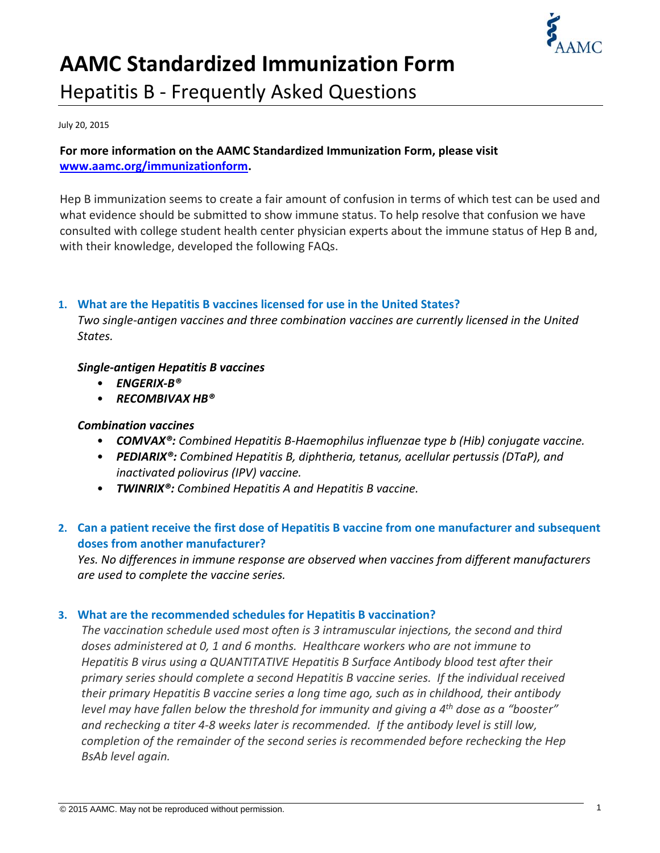

# **AAMC Standardized Immunization Form** Hepatitis B ‐ Frequently Asked Questions

July 20, 2015

#### **For more information on the AAMC Standardized Immunization Form, please visit www.aamc.org/immunizationform.**

Hep B immunization seems to create a fair amount of confusion in terms of which test can be used and what evidence should be submitted to show immune status. To help resolve that confusion we have consulted with college student health center physician experts about the immune status of Hep B and, with their knowledge, developed the following FAQs.

#### **1. What are the Hepatitis B vaccines licensed for use in the United States?**

*Two single‐antigen vaccines and three combination vaccines are currently licensed in the United States.*

#### *Single‐antigen Hepatitis B vaccines*

- *ENGERIX‐B®*
- *RECOMBIVAX HB®*

#### *Combination vaccines*

- *COMVAX®: Combined Hepatitis B‐Haemophilus influenzae type b (Hib) conjugate vaccine.*
- *PEDIARIX®: Combined Hepatitis B, diphtheria, tetanus, acellular pertussis (DTaP), and inactivated poliovirus (IPV) vaccine.*
- *TWINRIX®: Combined Hepatitis A and Hepatitis B vaccine.*

## **2. Can a patient receive the first dose of Hepatitis B vaccine from one manufacturer and subsequent doses from another manufacturer?**

*Yes. No differences in immune response are observed when vaccines from different manufacturers are used to complete the vaccine series.*

#### **3. What are the recommended schedules for Hepatitis B vaccination?**

*The vaccination schedule used most often is 3 intramuscular injections, the second and third doses administered at 0, 1 and 6 months. Healthcare workers who are not immune to Hepatitis B virus using a QUANTITATIVE Hepatitis B Surface Antibody blood test after their primary series should complete a second Hepatitis B vaccine series. If the individual received their primary Hepatitis B vaccine series a long time ago, such as in childhood, their antibody level may have fallen below the threshold for immunity and giving a 4th dose as a "booster" and rechecking a titer 4‐8 weeks later is recommended. If the antibody level is still low, completion of the remainder of the second series is recommended before rechecking the Hep BsAb level again.*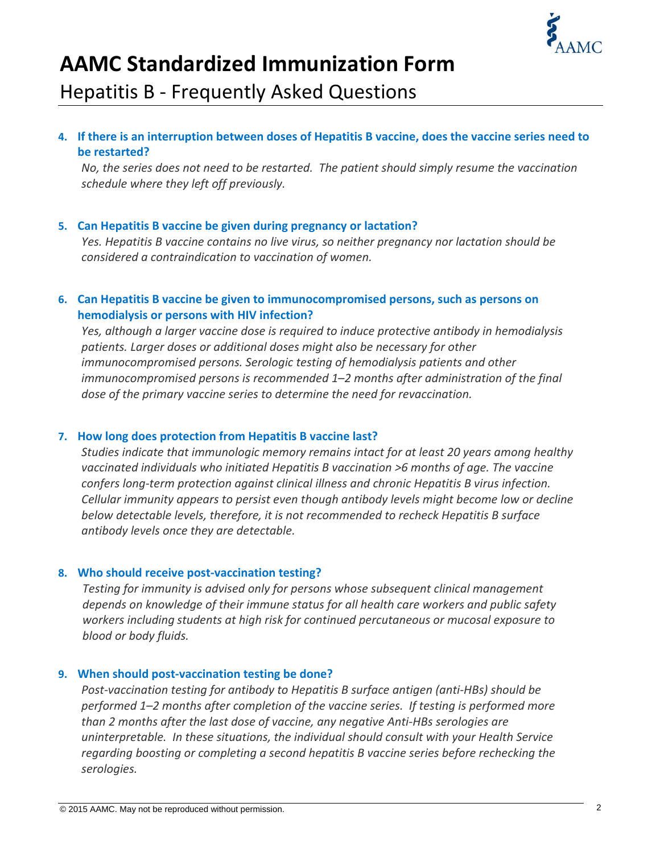

# **AAMC Standardized Immunization Form** Hepatitis B ‐ Frequently Asked Questions

## 4. If there is an interruption between doses of Hepatitis B vaccine, does the vaccine series need to **be restarted?**

*No, the series does not need to be restarted. The patient should simply resume the vaccination schedule where they left off previously.* 

#### **5. Can Hepatitis B vaccine be given during pregnancy or lactation?**

*Yes. Hepatitis B vaccine contains no live virus, so neither pregnancy nor lactation should be considered a contraindication to vaccination of women.* 

#### **6. Can Hepatitis B vaccine be given to immunocompromised persons, such as persons on hemodialysis or persons with HIV infection?**

*Yes, although a larger vaccine dose is required to induce protective antibody in hemodialysis patients. Larger doses or additional doses might also be necessary for other immunocompromised persons. Serologic testing of hemodialysis patients and other immunocompromised persons is recommended 1–2 months after administration of the final dose of the primary vaccine series to determine the need for revaccination.*

#### **7. How long does protection from Hepatitis B vaccine last?**

*Studies indicate that immunologic memory remains intact for at least 20 years among healthy vaccinated individuals who initiated Hepatitis B vaccination >6 months of age. The vaccine confers long‐term protection against clinical illness and chronic Hepatitis B virus infection. Cellular immunity appears to persist even though antibody levels might become low or decline below detectable levels, therefore, it is not recommended to recheck Hepatitis B surface antibody levels once they are detectable.* 

## **8. Who should receive post‐vaccination testing?**

*Testing for immunity is advised only for persons whose subsequent clinical management depends on knowledge of their immune status for all health care workers and public safety workers including students at high risk for continued percutaneous or mucosal exposure to blood or body fluids.*

## **9. When should post‐vaccination testing be done?**

*Post‐vaccination testing for antibody to Hepatitis B surface antigen (anti‐HBs) should be performed 1–2 months after completion of the vaccine series. If testing is performed more than 2 months after the last dose of vaccine, any negative Anti‐HBs serologies are uninterpretable. In these situations, the individual should consult with your Health Service regarding boosting or completing a second hepatitis B vaccine series before rechecking the serologies.*